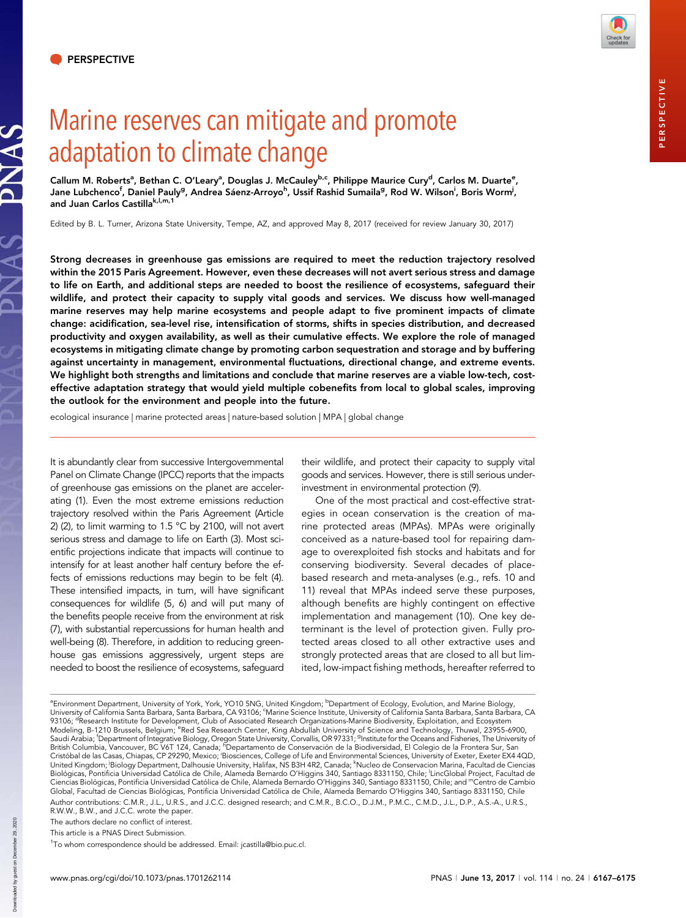PNAS

# Marine reserves can mitigate and promote adaptation to climate change

Callum M. Roberts<sup>a</sup>, Bethan C. O'Leary<sup>a</sup>, Douglas J. McCauley<sup>b,c</sup>, Philippe Maurice Cury<sup>d</sup>, Carlos M. Duarte<sup>e</sup>, Jane Lubchenco<sup>f</sup>, Daniel Pauly<sup>g</sup>, Andrea Sáenz-Arroyo<sup>h</sup>, Ussif Rashid Sumaila<sup>g</sup>, Rod W. Wilson<sup>i</sup>, Boris Worm<sup>j</sup>, and Juan Carlos Castillak, I, m, 1

Edited by B. L. Turner, Arizona State University, Tempe, AZ, and approved May 8, 2017 (received for review January 30, 2017)

Strong decreases in greenhouse gas emissions are required to meet the reduction trajectory resolved within the 2015 Paris Agreement. However, even these decreases will not avert serious stress and damage to life on Earth, and additional steps are needed to boost the resilience of ecosystems, safeguard their wildlife, and protect their capacity to supply vital goods and services. We discuss how well-managed marine reserves may help marine ecosystems and people adapt to five prominent impacts of climate change: acidification, sea-level rise, intensification of storms, shifts in species distribution, and decreased productivity and oxygen availability, as well as their cumulative effects. We explore the role of managed ecosystems in mitigating climate change by promoting carbon sequestration and storage and by buffering against uncertainty in management, environmental fluctuations, directional change, and extreme events. We highlight both strengths and limitations and conclude that marine reserves are a viable low-tech, costeffective adaptation strategy that would yield multiple cobenefits from local to global scales, improving the outlook for the environment and people into the future.

ecological insurance | marine protected areas | nature-based solution | MPA | global change

It is abundantly clear from successive Intergovernmental Panel on Climate Change (IPCC) reports that the impacts of greenhouse gas emissions on the planet are accelerating (1). Even the most extreme emissions reduction trajectory resolved within the Paris Agreement (Article 2) (2), to limit warming to 1.5 °C by 2100, will not avert serious stress and damage to life on Earth (3). Most scientific projections indicate that impacts will continue to intensify for at least another half century before the effects of emissions reductions may begin to be felt (4). These intensified impacts, in turn, will have significant consequences for wildlife (5, 6) and will put many of the benefits people receive from the environment at risk (7), with substantial repercussions for human health and well-being (8). Therefore, in addition to reducing greenhouse gas emissions aggressively, urgent steps are needed to boost the resilience of ecosystems, safeguard their wildlife, and protect their capacity to supply vital goods and services. However, there is still serious underinvestment in environmental protection (9).

One of the most practical and cost-effective strategies in ocean conservation is the creation of marine protected areas (MPAs). MPAs were originally conceived as a nature-based tool for repairing damage to overexploited fish stocks and habitats and for conserving biodiversity. Several decades of placebased research and meta-analyses (e.g., refs. 10 and 11) reveal that MPAs indeed serve these purposes, although benefits are highly contingent on effective implementation and management (10). One key determinant is the level of protection given. Fully protected areas closed to all other extractive uses and strongly protected areas that are closed to all but limited, low-impact fishing methods, hereafter referred to

The authors declare no conflict of interest.

This article is a PNAS Direct Submission.

Down

<sup>&</sup>lt;sup>a</sup>Environment Department, University of York, York, YO10 5NG, United Kingdom; <sup>b</sup>Department of Ecology, Evolution, and Marine Biology, University of California Santa Barbara, Santa Barbara, CA 93106; "Marine Science Institute, University of California Santa Barbara, Santa Barbara, CA 93106; <sup>d</sup>Research Institute for Development, Club of Associated Research Organizations-Marine Biodiversity, Exploitation, and Ecosystem<br>Modeling, B-1210 Brussels, Belgium; <sup>e</sup>Red Sea Research Center, King Abdullah Univers Cristóbal de las Casas, Chiapas, CP 29290, Mexico; <sup>i</sup>Biosciences, College of Life and Environmental Sciences, University of Exeter, Exeter EX4 4QD, United Kingdom; <sup>i</sup>Biology Department, Dalhousie University, Halifax, NS B3H 4R2, Canada; <sup>k</sup>Nucleo de Conservacion Marina, Facultad de Ciencias Biológicas, Pontificia Universidad Católica de Chile, Alameda Bernardo O'Higgins 340, Santiago 8331150, Chile; <sup>I</sup>LincGlobal Project, Facultad de Ciencias Biológicas, Pontificia Universidad Católica de Chile, Alameda Bernardo O'Higgins 340, Santiago 8331150, Chile; and <sup>m</sup>Centro de Cambio Global, Facultad de Ciencias Biológicas, Pontificia Universidad Católica de Chile, Alameda Bernardo O'Higgins 340, Santiago 8331150, Chile Author contributions: C.M.R., J.L., U.R.S., and J.C.C. designed research; and C.M.R., B.C.O., D.J.M., P.M.C., C.M.D., J.L., D.P., A.S.-A., U.R.S., R.W.W., B.W., and J.C.C. wrote the paper.

<sup>&</sup>lt;sup>1</sup>To whom correspondence should be addressed. Email: [jcastilla@bio.puc.cl](mailto:jcastilla@bio.puc.cl).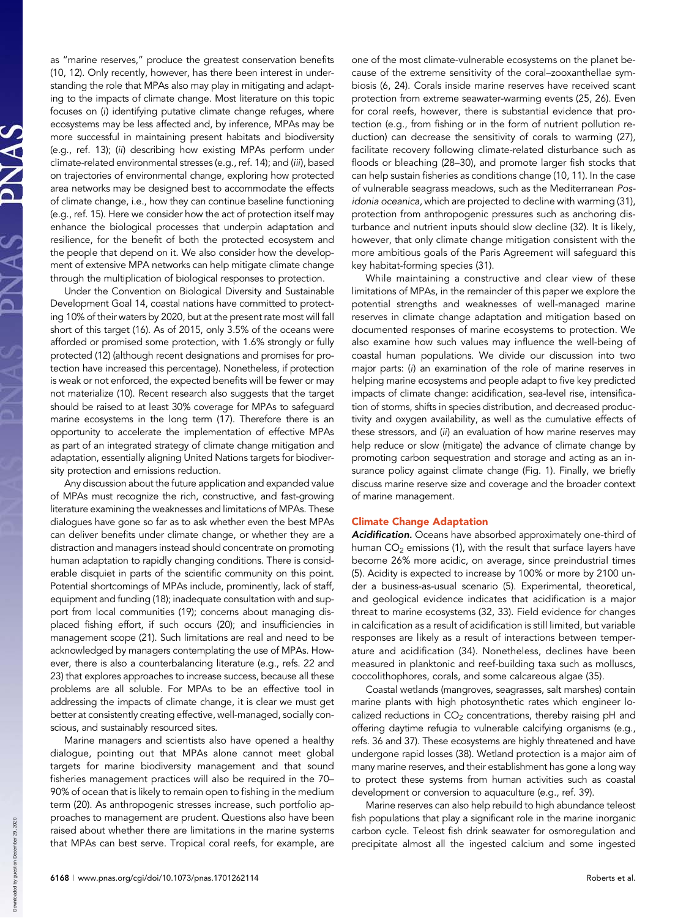as "marine reserves," produce the greatest conservation benefits (10, 12). Only recently, however, has there been interest in understanding the role that MPAs also may play in mitigating and adapting to the impacts of climate change. Most literature on this topic focuses on (i) identifying putative climate change refuges, where ecosystems may be less affected and, by inference, MPAs may be more successful in maintaining present habitats and biodiversity (e.g., ref. 13); (ii) describing how existing MPAs perform under climate-related environmental stresses (e.g., ref. 14); and (iii), based on trajectories of environmental change, exploring how protected area networks may be designed best to accommodate the effects of climate change, i.e., how they can continue baseline functioning (e.g., ref. 15). Here we consider how the act of protection itself may enhance the biological processes that underpin adaptation and resilience, for the benefit of both the protected ecosystem and the people that depend on it. We also consider how the development of extensive MPA networks can help mitigate climate change through the multiplication of biological responses to protection.

Under the Convention on Biological Diversity and Sustainable Development Goal 14, coastal nations have committed to protecting 10% of their waters by 2020, but at the present rate most will fall short of this target (16). As of 2015, only 3.5% of the oceans were afforded or promised some protection, with 1.6% strongly or fully protected (12) (although recent designations and promises for protection have increased this percentage). Nonetheless, if protection is weak or not enforced, the expected benefits will be fewer or may not materialize (10). Recent research also suggests that the target should be raised to at least 30% coverage for MPAs to safeguard marine ecosystems in the long term (17). Therefore there is an opportunity to accelerate the implementation of effective MPAs as part of an integrated strategy of climate change mitigation and adaptation, essentially aligning United Nations targets for biodiversity protection and emissions reduction.

Any discussion about the future application and expanded value of MPAs must recognize the rich, constructive, and fast-growing literature examining the weaknesses and limitations of MPAs. These dialogues have gone so far as to ask whether even the best MPAs can deliver benefits under climate change, or whether they are a distraction and managers instead should concentrate on promoting human adaptation to rapidly changing conditions. There is considerable disquiet in parts of the scientific community on this point. Potential shortcomings of MPAs include, prominently, lack of staff, equipment and funding (18); inadequate consultation with and support from local communities (19); concerns about managing displaced fishing effort, if such occurs (20); and insufficiencies in management scope (21). Such limitations are real and need to be acknowledged by managers contemplating the use of MPAs. However, there is also a counterbalancing literature (e.g., refs. 22 and 23) that explores approaches to increase success, because all these problems are all soluble. For MPAs to be an effective tool in addressing the impacts of climate change, it is clear we must get better at consistently creating effective, well-managed, socially conscious, and sustainably resourced sites.

Marine managers and scientists also have opened a healthy dialogue, pointing out that MPAs alone cannot meet global targets for marine biodiversity management and that sound fisheries management practices will also be required in the 70– 90% of ocean that is likely to remain open to fishing in the medium term (20). As anthropogenic stresses increase, such portfolio approaches to management are prudent. Questions also have been raised about whether there are limitations in the marine systems that MPAs can best serve. Tropical coral reefs, for example, are one of the most climate-vulnerable ecosystems on the planet because of the extreme sensitivity of the coral–zooxanthellae symbiosis (6, 24). Corals inside marine reserves have received scant protection from extreme seawater-warming events (25, 26). Even for coral reefs, however, there is substantial evidence that protection (e.g., from fishing or in the form of nutrient pollution reduction) can decrease the sensitivity of corals to warming (27), facilitate recovery following climate-related disturbance such as floods or bleaching (28–30), and promote larger fish stocks that can help sustain fisheries as conditions change (10, 11). In the case of vulnerable seagrass meadows, such as the Mediterranean Posidonia oceanica, which are projected to decline with warming (31), protection from anthropogenic pressures such as anchoring disturbance and nutrient inputs should slow decline (32). It is likely, however, that only climate change mitigation consistent with the more ambitious goals of the Paris Agreement will safeguard this key habitat-forming species (31).

While maintaining a constructive and clear view of these limitations of MPAs, in the remainder of this paper we explore the potential strengths and weaknesses of well-managed marine reserves in climate change adaptation and mitigation based on documented responses of marine ecosystems to protection. We also examine how such values may influence the well-being of coastal human populations. We divide our discussion into two major parts: (i) an examination of the role of marine reserves in helping marine ecosystems and people adapt to five key predicted impacts of climate change: acidification, sea-level rise, intensification of storms, shifts in species distribution, and decreased productivity and oxygen availability, as well as the cumulative effects of these stressors, and (ii) an evaluation of how marine reserves may help reduce or slow (mitigate) the advance of climate change by promoting carbon sequestration and storage and acting as an insurance policy against climate change (Fig. 1). Finally, we briefly discuss marine reserve size and coverage and the broader context of marine management.

## Climate Change Adaptation

Acidification. Oceans have absorbed approximately one-third of human  $CO<sub>2</sub>$  emissions (1), with the result that surface layers have become 26% more acidic, on average, since preindustrial times (5). Acidity is expected to increase by 100% or more by 2100 under a business-as-usual scenario (5). Experimental, theoretical, and geological evidence indicates that acidification is a major threat to marine ecosystems (32, 33). Field evidence for changes in calcification as a result of acidification is still limited, but variable responses are likely as a result of interactions between temperature and acidification (34). Nonetheless, declines have been measured in planktonic and reef-building taxa such as molluscs, coccolithophores, corals, and some calcareous algae (35).

Coastal wetlands (mangroves, seagrasses, salt marshes) contain marine plants with high photosynthetic rates which engineer localized reductions in  $CO<sub>2</sub>$  concentrations, thereby raising pH and offering daytime refugia to vulnerable calcifying organisms (e.g., refs. 36 and 37). These ecosystems are highly threatened and have undergone rapid losses (38). Wetland protection is a major aim of many marine reserves, and their establishment has gone a long way to protect these systems from human activities such as coastal development or conversion to aquaculture (e.g., ref. 39).

Marine reserves can also help rebuild to high abundance teleost fish populations that play a significant role in the marine inorganic carbon cycle. Teleost fish drink seawater for osmoregulation and precipitate almost all the ingested calcium and some ingested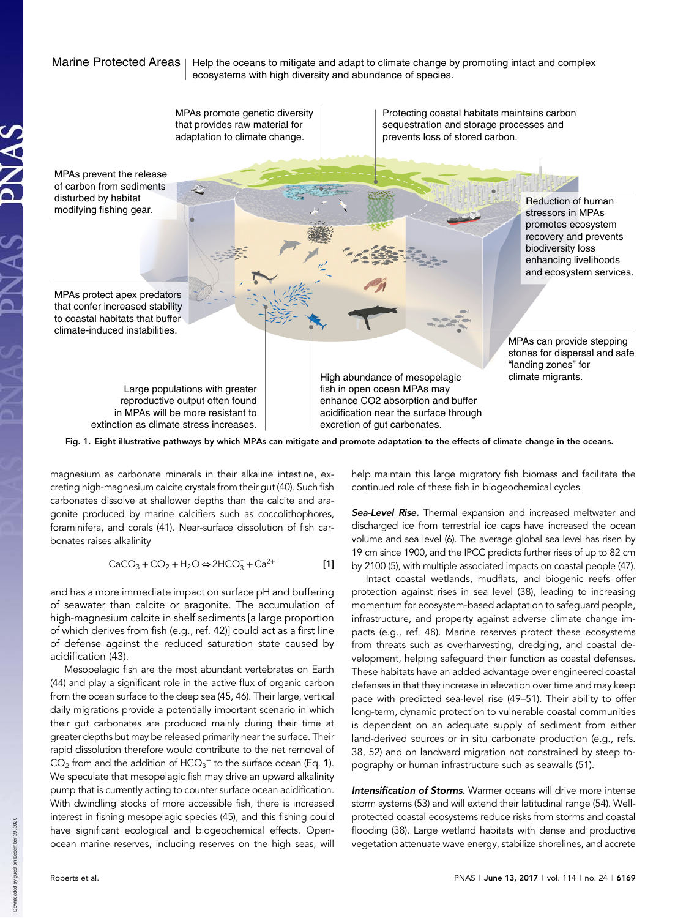Marine Protected Areas | Help the oceans to mitigate and adapt to climate change by promoting intact and complex ecosystems with high diversity and abundance of species.



Fig. 1. Eight illustrative pathways by which MPAs can mitigate and promote adaptation to the effects of climate change in the oceans.

magnesium as carbonate minerals in their alkaline intestine, excreting high-magnesium calcite crystals from their gut (40). Such fish carbonates dissolve at shallower depths than the calcite and aragonite produced by marine calcifiers such as coccolithophores, foraminifera, and corals (41). Near-surface dissolution of fish carbonates raises alkalinity

$$
CaCO3 + CO2 + H2O \Leftrightarrow 2HCO37 + Ca2+
$$
 [1]

and has a more immediate impact on surface pH and buffering of seawater than calcite or aragonite. The accumulation of high-magnesium calcite in shelf sediments [a large proportion of which derives from fish (e.g., ref. 42)] could act as a first line of defense against the reduced saturation state caused by acidification (43).

Mesopelagic fish are the most abundant vertebrates on Earth (44) and play a significant role in the active flux of organic carbon from the ocean surface to the deep sea (45, 46). Their large, vertical daily migrations provide a potentially important scenario in which their gut carbonates are produced mainly during their time at greater depths but may be released primarily near the surface. Their rapid dissolution therefore would contribute to the net removal of  $CO<sub>2</sub>$  from and the addition of  $HCO<sub>3</sub><sup>-</sup>$  to the surface ocean (Eq. 1). We speculate that mesopelagic fish may drive an upward alkalinity pump that is currently acting to counter surface ocean acidification. With dwindling stocks of more accessible fish, there is increased interest in fishing mesopelagic species (45), and this fishing could have significant ecological and biogeochemical effects. Openocean marine reserves, including reserves on the high seas, will help maintain this large migratory fish biomass and facilitate the continued role of these fish in biogeochemical cycles.

Sea-Level Rise. Thermal expansion and increased meltwater and discharged ice from terrestrial ice caps have increased the ocean volume and sea level (6). The average global sea level has risen by 19 cm since 1900, and the IPCC predicts further rises of up to 82 cm by 2100 (5), with multiple associated impacts on coastal people (47).

Intact coastal wetlands, mudflats, and biogenic reefs offer protection against rises in sea level (38), leading to increasing momentum for ecosystem-based adaptation to safeguard people, infrastructure, and property against adverse climate change impacts (e.g., ref. 48). Marine reserves protect these ecosystems from threats such as overharvesting, dredging, and coastal development, helping safeguard their function as coastal defenses. These habitats have an added advantage over engineered coastal defenses in that they increase in elevation over time and may keep pace with predicted sea-level rise (49–51). Their ability to offer long-term, dynamic protection to vulnerable coastal communities is dependent on an adequate supply of sediment from either land-derived sources or in situ carbonate production (e.g., refs. 38, 52) and on landward migration not constrained by steep topography or human infrastructure such as seawalls (51).

Intensification of Storms. Warmer oceans will drive more intense storm systems (53) and will extend their latitudinal range (54). Wellprotected coastal ecosystems reduce risks from storms and coastal flooding (38). Large wetland habitats with dense and productive vegetation attenuate wave energy, stabilize shorelines, and accrete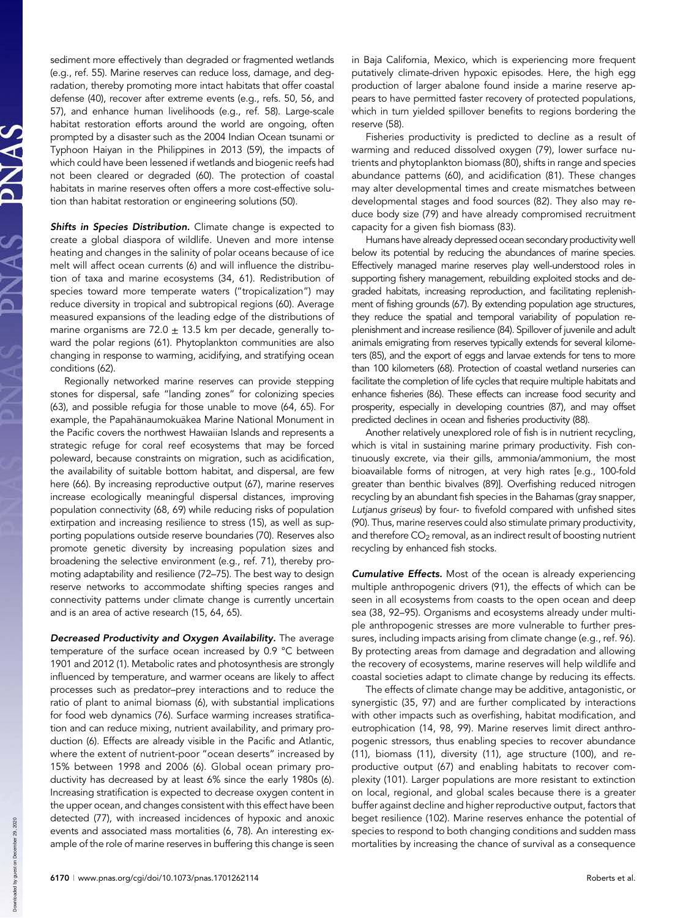sediment more effectively than degraded or fragmented wetlands (e.g., ref. 55). Marine reserves can reduce loss, damage, and degradation, thereby promoting more intact habitats that offer coastal defense (40), recover after extreme events (e.g., refs. 50, 56, and 57), and enhance human livelihoods (e.g., ref. 58). Large-scale habitat restoration efforts around the world are ongoing, often prompted by a disaster such as the 2004 Indian Ocean tsunami or Typhoon Haiyan in the Philippines in 2013 (59), the impacts of which could have been lessened if wetlands and biogenic reefs had not been cleared or degraded (60). The protection of coastal habitats in marine reserves often offers a more cost-effective solution than habitat restoration or engineering solutions (50).

Shifts in Species Distribution. Climate change is expected to create a global diaspora of wildlife. Uneven and more intense heating and changes in the salinity of polar oceans because of ice melt will affect ocean currents (6) and will influence the distribution of taxa and marine ecosystems (34, 61). Redistribution of species toward more temperate waters ("tropicalization") may reduce diversity in tropical and subtropical regions (60). Average measured expansions of the leading edge of the distributions of marine organisms are 72.0  $\pm$  13.5 km per decade, generally toward the polar regions (61). Phytoplankton communities are also changing in response to warming, acidifying, and stratifying ocean conditions (62).

Regionally networked marine reserves can provide stepping stones for dispersal, safe "landing zones" for colonizing species (63), and possible refugia for those unable to move (64, 65). For example, the Papah anaumokuakea Marine National Monument in the Pacific covers the northwest Hawaiian Islands and represents a strategic refuge for coral reef ecosystems that may be forced poleward, because constraints on migration, such as acidification, the availability of suitable bottom habitat, and dispersal, are few here (66). By increasing reproductive output (67), marine reserves increase ecologically meaningful dispersal distances, improving population connectivity (68, 69) while reducing risks of population extirpation and increasing resilience to stress (15), as well as supporting populations outside reserve boundaries (70). Reserves also promote genetic diversity by increasing population sizes and broadening the selective environment (e.g., ref. 71), thereby promoting adaptability and resilience (72–75). The best way to design reserve networks to accommodate shifting species ranges and connectivity patterns under climate change is currently uncertain and is an area of active research (15, 64, 65).

Decreased Productivity and Oxygen Availability. The average temperature of the surface ocean increased by 0.9 °C between 1901 and 2012 (1). Metabolic rates and photosynthesis are strongly influenced by temperature, and warmer oceans are likely to affect processes such as predator–prey interactions and to reduce the ratio of plant to animal biomass (6), with substantial implications for food web dynamics (76). Surface warming increases stratification and can reduce mixing, nutrient availability, and primary production (6). Effects are already visible in the Pacific and Atlantic, where the extent of nutrient-poor "ocean deserts" increased by 15% between 1998 and 2006 (6). Global ocean primary productivity has decreased by at least 6% since the early 1980s (6). Increasing stratification is expected to decrease oxygen content in the upper ocean, and changes consistent with this effect have been detected (77), with increased incidences of hypoxic and anoxic events and associated mass mortalities (6, 78). An interesting example of the role of marine reserves in buffering this change is seen

warming and reduced dissolved oxygen (79), lower surface nutrients and phytoplankton biomass (80), shifts in range and species abundance patterns (60), and acidification (81). These changes may alter developmental times and create mismatches between developmental stages and food sources (82). They also may reduce body size (79) and have already compromised recruitment capacity for a given fish biomass (83).

in Baja California, Mexico, which is experiencing more frequent putatively climate-driven hypoxic episodes. Here, the high egg

Humans have already depressed ocean secondary productivity well below its potential by reducing the abundances of marine species. Effectively managed marine reserves play well-understood roles in supporting fishery management, rebuilding exploited stocks and degraded habitats, increasing reproduction, and facilitating replenishment of fishing grounds (67). By extending population age structures, they reduce the spatial and temporal variability of population replenishment and increase resilience (84). Spillover of juvenile and adult animals emigrating from reserves typically extends for several kilometers (85), and the export of eggs and larvae extends for tens to more than 100 kilometers (68). Protection of coastal wetland nurseries can facilitate the completion of life cycles that require multiple habitats and enhance fisheries (86). These effects can increase food security and prosperity, especially in developing countries (87), and may offset predicted declines in ocean and fisheries productivity (88).

Another relatively unexplored role of fish is in nutrient recycling, which is vital in sustaining marine primary productivity. Fish continuously excrete, via their gills, ammonia/ammonium, the most bioavailable forms of nitrogen, at very high rates [e.g., 100-fold greater than benthic bivalves (89)]. Overfishing reduced nitrogen recycling by an abundant fish species in the Bahamas (gray snapper, Lutjanus griseus) by four- to fivefold compared with unfished sites (90). Thus, marine reserves could also stimulate primary productivity, and therefore  $CO<sub>2</sub>$  removal, as an indirect result of boosting nutrient recycling by enhanced fish stocks.

Cumulative Effects. Most of the ocean is already experiencing multiple anthropogenic drivers (91), the effects of which can be seen in all ecosystems from coasts to the open ocean and deep sea (38, 92–95). Organisms and ecosystems already under multiple anthropogenic stresses are more vulnerable to further pressures, including impacts arising from climate change (e.g., ref. 96). By protecting areas from damage and degradation and allowing the recovery of ecosystems, marine reserves will help wildlife and coastal societies adapt to climate change by reducing its effects.

The effects of climate change may be additive, antagonistic, or synergistic (35, 97) and are further complicated by interactions with other impacts such as overfishing, habitat modification, and eutrophication (14, 98, 99). Marine reserves limit direct anthropogenic stressors, thus enabling species to recover abundance (11), biomass (11), diversity (11), age structure (100), and reproductive output (67) and enabling habitats to recover complexity (101). Larger populations are more resistant to extinction on local, regional, and global scales because there is a greater buffer against decline and higher reproductive output, factors that beget resilience (102). Marine reserves enhance the potential of species to respond to both changing conditions and sudden mass mortalities by increasing the chance of survival as a consequence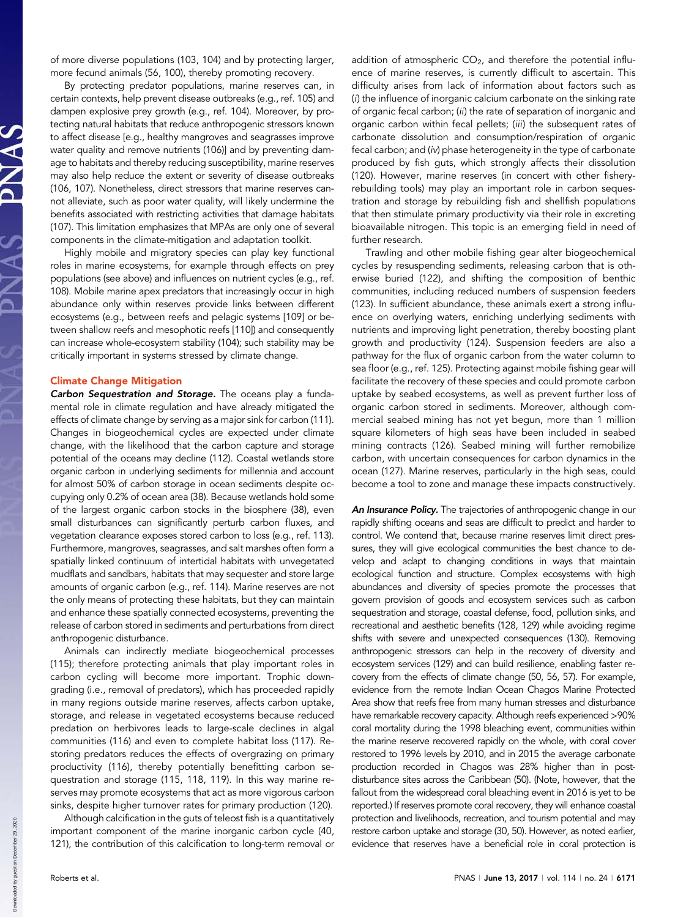of more diverse populations (103, 104) and by protecting larger, more fecund animals (56, 100), thereby promoting recovery.

By protecting predator populations, marine reserves can, in certain contexts, help prevent disease outbreaks (e.g., ref. 105) and dampen explosive prey growth (e.g., ref. 104). Moreover, by protecting natural habitats that reduce anthropogenic stressors known to affect disease [e.g., healthy mangroves and seagrasses improve water quality and remove nutrients (106)] and by preventing damage to habitats and thereby reducing susceptibility, marine reserves may also help reduce the extent or severity of disease outbreaks (106, 107). Nonetheless, direct stressors that marine reserves cannot alleviate, such as poor water quality, will likely undermine the benefits associated with restricting activities that damage habitats (107). This limitation emphasizes that MPAs are only one of several components in the climate-mitigation and adaptation toolkit.

Highly mobile and migratory species can play key functional roles in marine ecosystems, for example through effects on prey populations (see above) and influences on nutrient cycles (e.g., ref. 108). Mobile marine apex predators that increasingly occur in high abundance only within reserves provide links between different ecosystems (e.g., between reefs and pelagic systems [109] or between shallow reefs and mesophotic reefs [110]) and consequently can increase whole-ecosystem stability (104); such stability may be critically important in systems stressed by climate change.

## Climate Change Mitigation

Carbon Sequestration and Storage. The oceans play a fundamental role in climate regulation and have already mitigated the effects of climate change by serving as a major sink for carbon (111). Changes in biogeochemical cycles are expected under climate change, with the likelihood that the carbon capture and storage potential of the oceans may decline (112). Coastal wetlands store organic carbon in underlying sediments for millennia and account for almost 50% of carbon storage in ocean sediments despite occupying only 0.2% of ocean area (38). Because wetlands hold some of the largest organic carbon stocks in the biosphere (38), even small disturbances can significantly perturb carbon fluxes, and vegetation clearance exposes stored carbon to loss (e.g., ref. 113). Furthermore, mangroves, seagrasses, and salt marshes often form a spatially linked continuum of intertidal habitats with unvegetated mudflats and sandbars, habitats that may sequester and store large amounts of organic carbon (e.g., ref. 114). Marine reserves are not the only means of protecting these habitats, but they can maintain and enhance these spatially connected ecosystems, preventing the release of carbon stored in sediments and perturbations from direct anthropogenic disturbance.

Animals can indirectly mediate biogeochemical processes (115); therefore protecting animals that play important roles in carbon cycling will become more important. Trophic downgrading (i.e., removal of predators), which has proceeded rapidly in many regions outside marine reserves, affects carbon uptake, storage, and release in vegetated ecosystems because reduced predation on herbivores leads to large-scale declines in algal communities (116) and even to complete habitat loss (117). Restoring predators reduces the effects of overgrazing on primary productivity (116), thereby potentially benefitting carbon sequestration and storage (115, 118, 119). In this way marine reserves may promote ecosystems that act as more vigorous carbon sinks, despite higher turnover rates for primary production (120).

Although calcification in the guts of teleost fish is a quantitatively important component of the marine inorganic carbon cycle (40, 121), the contribution of this calcification to long-term removal or addition of atmospheric  $CO<sub>2</sub>$ , and therefore the potential influence of marine reserves, is currently difficult to ascertain. This difficulty arises from lack of information about factors such as (i) the influence of inorganic calcium carbonate on the sinking rate of organic fecal carbon; (ii) the rate of separation of inorganic and organic carbon within fecal pellets; (iii) the subsequent rates of carbonate dissolution and consumption/respiration of organic fecal carbon; and (iv) phase heterogeneity in the type of carbonate produced by fish guts, which strongly affects their dissolution (120). However, marine reserves (in concert with other fisheryrebuilding tools) may play an important role in carbon sequestration and storage by rebuilding fish and shellfish populations that then stimulate primary productivity via their role in excreting bioavailable nitrogen. This topic is an emerging field in need of further research.

Trawling and other mobile fishing gear alter biogeochemical cycles by resuspending sediments, releasing carbon that is otherwise buried (122), and shifting the composition of benthic communities, including reduced numbers of suspension feeders (123). In sufficient abundance, these animals exert a strong influence on overlying waters, enriching underlying sediments with nutrients and improving light penetration, thereby boosting plant growth and productivity (124). Suspension feeders are also a pathway for the flux of organic carbon from the water column to sea floor (e.g., ref. 125). Protecting against mobile fishing gear will facilitate the recovery of these species and could promote carbon uptake by seabed ecosystems, as well as prevent further loss of organic carbon stored in sediments. Moreover, although commercial seabed mining has not yet begun, more than 1 million square kilometers of high seas have been included in seabed mining contracts (126). Seabed mining will further remobilize carbon, with uncertain consequences for carbon dynamics in the ocean (127). Marine reserves, particularly in the high seas, could become a tool to zone and manage these impacts constructively.

An Insurance Policy. The trajectories of anthropogenic change in our rapidly shifting oceans and seas are difficult to predict and harder to control. We contend that, because marine reserves limit direct pressures, they will give ecological communities the best chance to develop and adapt to changing conditions in ways that maintain ecological function and structure. Complex ecosystems with high abundances and diversity of species promote the processes that govern provision of goods and ecosystem services such as carbon sequestration and storage, coastal defense, food, pollution sinks, and recreational and aesthetic benefits (128, 129) while avoiding regime shifts with severe and unexpected consequences (130). Removing anthropogenic stressors can help in the recovery of diversity and ecosystem services (129) and can build resilience, enabling faster recovery from the effects of climate change (50, 56, 57). For example, evidence from the remote Indian Ocean Chagos Marine Protected Area show that reefs free from many human stresses and disturbance have remarkable recovery capacity. Although reefs experienced >90% coral mortality during the 1998 bleaching event, communities within the marine reserve recovered rapidly on the whole, with coral cover restored to 1996 levels by 2010, and in 2015 the average carbonate production recorded in Chagos was 28% higher than in postdisturbance sites across the Caribbean (50). (Note, however, that the fallout from the widespread coral bleaching event in 2016 is yet to be reported.) If reserves promote coral recovery, they will enhance coastal protection and livelihoods, recreation, and tourism potential and may restore carbon uptake and storage (30, 50). However, as noted earlier, evidence that reserves have a beneficial role in coral protection is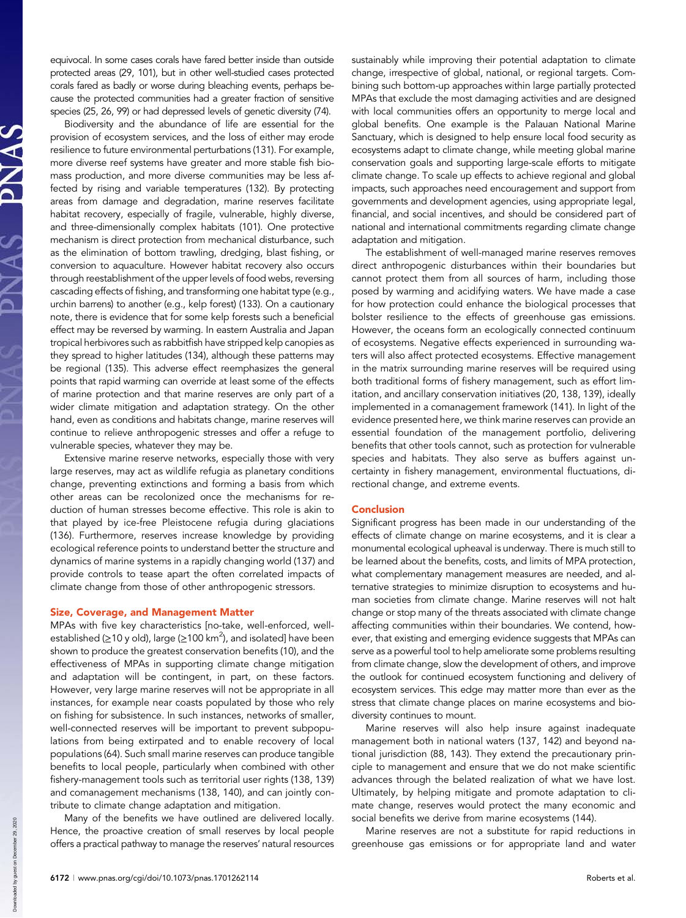equivocal. In some cases corals have fared better inside than outside protected areas (29, 101), but in other well-studied cases protected corals fared as badly or worse during bleaching events, perhaps because the protected communities had a greater fraction of sensitive species (25, 26, 99) or had depressed levels of genetic diversity (74).

Biodiversity and the abundance of life are essential for the provision of ecosystem services, and the loss of either may erode resilience to future environmental perturbations (131). For example, more diverse reef systems have greater and more stable fish biomass production, and more diverse communities may be less affected by rising and variable temperatures (132). By protecting areas from damage and degradation, marine reserves facilitate habitat recovery, especially of fragile, vulnerable, highly diverse, and three-dimensionally complex habitats (101). One protective mechanism is direct protection from mechanical disturbance, such as the elimination of bottom trawling, dredging, blast fishing, or conversion to aquaculture. However habitat recovery also occurs through reestablishment of the upper levels of food webs, reversing cascading effects of fishing, and transforming one habitat type (e.g., urchin barrens) to another (e.g., kelp forest) (133). On a cautionary note, there is evidence that for some kelp forests such a beneficial effect may be reversed by warming. In eastern Australia and Japan tropical herbivores such as rabbitfish have stripped kelp canopies as they spread to higher latitudes (134), although these patterns may be regional (135). This adverse effect reemphasizes the general points that rapid warming can override at least some of the effects of marine protection and that marine reserves are only part of a wider climate mitigation and adaptation strategy. On the other hand, even as conditions and habitats change, marine reserves will continue to relieve anthropogenic stresses and offer a refuge to vulnerable species, whatever they may be.

Extensive marine reserve networks, especially those with very large reserves, may act as wildlife refugia as planetary conditions change, preventing extinctions and forming a basis from which other areas can be recolonized once the mechanisms for reduction of human stresses become effective. This role is akin to that played by ice-free Pleistocene refugia during glaciations (136). Furthermore, reserves increase knowledge by providing ecological reference points to understand better the structure and dynamics of marine systems in a rapidly changing world (137) and provide controls to tease apart the often correlated impacts of climate change from those of other anthropogenic stressors.

## Size, Coverage, and Management Matter

MPAs with five key characteristics [no-take, well-enforced, wellestablished (≥10 y old), large (≥100 km<sup>2</sup>), and isolated] have been shown to produce the greatest conservation benefits (10), and the effectiveness of MPAs in supporting climate change mitigation and adaptation will be contingent, in part, on these factors. However, very large marine reserves will not be appropriate in all instances, for example near coasts populated by those who rely on fishing for subsistence. In such instances, networks of smaller, well-connected reserves will be important to prevent subpopulations from being extirpated and to enable recovery of local populations (64). Such small marine reserves can produce tangible benefits to local people, particularly when combined with other fishery-management tools such as territorial user rights (138, 139) and comanagement mechanisms (138, 140), and can jointly contribute to climate change adaptation and mitigation.

Many of the benefits we have outlined are delivered locally. Hence, the proactive creation of small reserves by local people offers a practical pathway to manage the reserves' natural resources sustainably while improving their potential adaptation to climate change, irrespective of global, national, or regional targets. Combining such bottom-up approaches within large partially protected MPAs that exclude the most damaging activities and are designed with local communities offers an opportunity to merge local and global benefits. One example is the Palauan National Marine Sanctuary, which is designed to help ensure local food security as ecosystems adapt to climate change, while meeting global marine conservation goals and supporting large-scale efforts to mitigate climate change. To scale up effects to achieve regional and global impacts, such approaches need encouragement and support from governments and development agencies, using appropriate legal, financial, and social incentives, and should be considered part of national and international commitments regarding climate change adaptation and mitigation.

The establishment of well-managed marine reserves removes direct anthropogenic disturbances within their boundaries but cannot protect them from all sources of harm, including those posed by warming and acidifying waters. We have made a case for how protection could enhance the biological processes that bolster resilience to the effects of greenhouse gas emissions. However, the oceans form an ecologically connected continuum of ecosystems. Negative effects experienced in surrounding waters will also affect protected ecosystems. Effective management in the matrix surrounding marine reserves will be required using both traditional forms of fishery management, such as effort limitation, and ancillary conservation initiatives (20, 138, 139), ideally implemented in a comanagement framework (141). In light of the evidence presented here, we think marine reserves can provide an essential foundation of the management portfolio, delivering benefits that other tools cannot, such as protection for vulnerable species and habitats. They also serve as buffers against uncertainty in fishery management, environmental fluctuations, directional change, and extreme events.

## Conclusion

Significant progress has been made in our understanding of the effects of climate change on marine ecosystems, and it is clear a monumental ecological upheaval is underway. There is much still to be learned about the benefits, costs, and limits of MPA protection, what complementary management measures are needed, and alternative strategies to minimize disruption to ecosystems and human societies from climate change. Marine reserves will not halt change or stop many of the threats associated with climate change affecting communities within their boundaries. We contend, however, that existing and emerging evidence suggests that MPAs can serve as a powerful tool to help ameliorate some problems resulting from climate change, slow the development of others, and improve the outlook for continued ecosystem functioning and delivery of ecosystem services. This edge may matter more than ever as the stress that climate change places on marine ecosystems and biodiversity continues to mount.

Marine reserves will also help insure against inadequate management both in national waters (137, 142) and beyond national jurisdiction (88, 143). They extend the precautionary principle to management and ensure that we do not make scientific advances through the belated realization of what we have lost. Ultimately, by helping mitigate and promote adaptation to climate change, reserves would protect the many economic and social benefits we derive from marine ecosystems (144).

Marine reserves are not a substitute for rapid reductions in greenhouse gas emissions or for appropriate land and water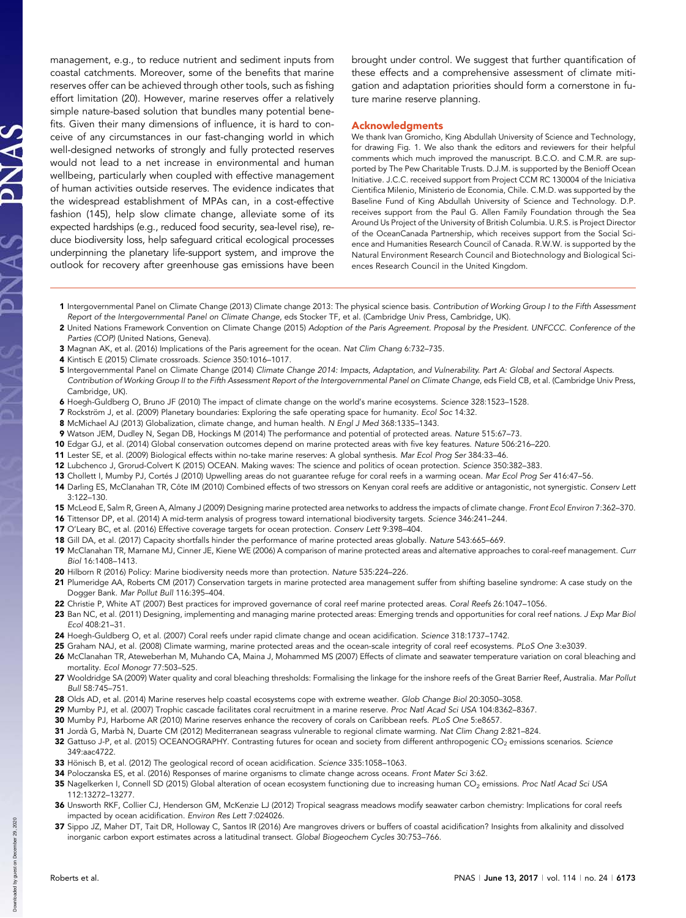management, e.g., to reduce nutrient and sediment inputs from coastal catchments. Moreover, some of the benefits that marine reserves offer can be achieved through other tools, such as fishing effort limitation (20). However, marine reserves offer a relatively simple nature-based solution that bundles many potential benefits. Given their many dimensions of influence, it is hard to conceive of any circumstances in our fast-changing world in which well-designed networks of strongly and fully protected reserves would not lead to a net increase in environmental and human wellbeing, particularly when coupled with effective management of human activities outside reserves. The evidence indicates that the widespread establishment of MPAs can, in a cost-effective fashion (145), help slow climate change, alleviate some of its expected hardships (e.g., reduced food security, sea-level rise), reduce biodiversity loss, help safeguard critical ecological processes underpinning the planetary life-support system, and improve the outlook for recovery after greenhouse gas emissions have been

brought under control. We suggest that further quantification of these effects and a comprehensive assessment of climate mitigation and adaptation priorities should form a cornerstone in future marine reserve planning.

#### **Acknowledaments**

We thank Ivan Gromicho, King Abdullah University of Science and Technology, for drawing Fig. 1. We also thank the editors and reviewers for their helpful comments which much improved the manuscript. B.C.O. and C.M.R. are supported by The Pew Charitable Trusts. D.J.M. is supported by the Benioff Ocean Initiative. J.C.C. received support from Project CCM RC 130004 of the Iniciativa Cientifica Milenio, Ministerio de Economia, Chile. C.M.D. was supported by the Baseline Fund of King Abdullah University of Science and Technology. D.P. receives support from the Paul G. Allen Family Foundation through the Sea Around Us Project of the University of British Columbia. U.R.S. is Project Director of the OceanCanada Partnership, which receives support from the Social Science and Humanities Research Council of Canada. R.W.W. is supported by the Natural Environment Research Council and Biotechnology and Biological Sciences Research Council in the United Kingdom.

- 1 Intergovernmental Panel on Climate Change (2013) Climate change 2013: The physical science basis. Contribution of Working Group I to the Fifth Assessment Report of the Intergovernmental Panel on Climate Change, eds Stocker TF, et al. (Cambridge Univ Press, Cambridge, UK).
- 2 United Nations Framework Convention on Climate Change (2015) Adoption of the Paris Agreement. Proposal by the President. UNFCCC. Conference of the Parties (COP) (United Nations, Geneva).
- 3 Magnan AK, et al. (2016) Implications of the Paris agreement for the ocean. Nat Clim Chang 6:732-735.
- 4 Kintisch E (2015) Climate crossroads. Science 350:1016–1017.
- 5 Intergovernmental Panel on Climate Change (2014) Climate Change 2014: Impacts, Adaptation, and Vulnerability. Part A: Global and Sectoral Aspects. Contribution of Working Group II to the Fifth Assessment Report of the Intergovernmental Panel on Climate Change, eds Field CB, et al. (Cambridge Univ Press, Cambridge, UK).
- 6 Hoegh-Guldberg O, Bruno JF (2010) The impact of climate change on the world's marine ecosystems. Science 328:1523–1528.
- 7 Rockström J, et al. (2009) Planetary boundaries: Exploring the safe operating space for humanity. Ecol Soc 14:32.
- 8 McMichael AJ (2013) Globalization, climate change, and human health. N Engl J Med 368:1335–1343.
- 9 Watson JEM, Dudley N, Segan DB, Hockings M (2014) The performance and potential of protected areas. Nature 515:67–73.
- 10 Edgar GJ, et al. (2014) Global conservation outcomes depend on marine protected areas with five key features. Nature 506:216–220.
- 11 Lester SE, et al. (2009) Biological effects within no-take marine reserves: A global synthesis. Mar Ecol Prog Ser 384:33–46.
- 12 Lubchenco J, Grorud-Colvert K (2015) OCEAN. Making waves: The science and politics of ocean protection. Science 350:382–383.
- 13 Chollett I, Mumby PJ, Cortés J (2010) Upwelling areas do not guarantee refuge for coral reefs in a warming ocean. Mar Ecol Prog Ser 416:47-56.
- 14 Darling ES, McClanahan TR, Côte IM (2010) Combined effects of two stressors on Kenyan coral reefs are additive or antagonistic, not synergistic. Conserv Lett 3:122–130.
- 15 McLeod E, Salm R, Green A, Almany J (2009) Designing marine protected area networks to address the impacts of climate change. Front Ecol Environ 7:362-370.
- 16 Tittensor DP, et al. (2014) A mid-term analysis of progress toward international biodiversity targets. Science 346:241–244.
- 17 O'Leary BC, et al. (2016) Effective coverage targets for ocean protection. Conserv Lett 9:398–404.
- 18 Gill DA, et al. (2017) Capacity shortfalls hinder the performance of marine protected areas globally. Nature 543:665–669.
- 19 McClanahan TR, Marnane MJ, Cinner JE, Kiene WE (2006) A comparison of marine protected areas and alternative approaches to coral-reef management. Curr Biol 16:1408–1413.
- 20 Hilborn R (2016) Policy: Marine biodiversity needs more than protection. Nature 535:224–226.
- 21 Plumeridge AA, Roberts CM (2017) Conservation targets in marine protected area management suffer from shifting baseline syndrome: A case study on the Dogger Bank. Mar Pollut Bull 116:395–404.
- 22 Christie P, White AT (2007) Best practices for improved governance of coral reef marine protected areas. Coral Reefs 26:1047-1056.
- 23 Ban NC, et al. (2011) Designing, implementing and managing marine protected areas: Emerging trends and opportunities for coral reef nations. J Exp Mar Biol Ecol 408:21–31.
- 24 Hoegh-Guldberg O, et al. (2007) Coral reefs under rapid climate change and ocean acidification. Science 318:1737–1742.
- 25 Graham NAJ, et al. (2008) Climate warming, marine protected areas and the ocean-scale integrity of coral reef ecosystems. PLoS One 3:e3039.
- 26 McClanahan TR, Ateweberhan M, Muhando CA, Maina J, Mohammed MS (2007) Effects of climate and seawater temperature variation on coral bleaching and mortality. Ecol Monogr 77:503–525.
- 27 Wooldridge SA (2009) Water quality and coral bleaching thresholds: Formalising the linkage for the inshore reefs of the Great Barrier Reef, Australia. Mar Pollut Bull 58:745–751.
- 28 Olds AD, et al. (2014) Marine reserves help coastal ecosystems cope with extreme weather. Glob Change Biol 20:3050-3058.
- 29 Mumby PJ, et al. (2007) Trophic cascade facilitates coral recruitment in a marine reserve. Proc Natl Acad Sci USA 104:8362-8367.
- 30 Mumby PJ, Harborne AR (2010) Marine reserves enhance the recovery of corals on Caribbean reefs. PLoS One 5:e8657.
- 31 Jordà G, Marbà N, Duarte CM (2012) Mediterranean seagrass vulnerable to regional climate warming. Nat Clim Chang 2:821–824.
- 32 Gattuso J-P, et al. (2015) OCEANOGRAPHY. Contrasting futures for ocean and society from different anthropogenic CO<sub>2</sub> emissions scenarios. Science 349:aac4722.
- 33 Hönisch B, et al. (2012) The geological record of ocean acidification. Science 335:1058-1063.
- 34 Poloczanska ES, et al. (2016) Responses of marine organisms to climate change across oceans. Front Mater Sci 3:62.
- 35 Nagelkerken I, Connell SD (2015) Global alteration of ocean ecosystem functioning due to increasing human CO<sub>2</sub> emissions. Proc Natl Acad Sci USA 112:13272–13277.
- 36 Unsworth RKF, Collier CJ, Henderson GM, McKenzie LJ (2012) Tropical seagrass meadows modify seawater carbon chemistry: Implications for coral reefs impacted by ocean acidification. Environ Res Lett 7:024026.
- 37 Sippo JZ, Maher DT, Tait DR, Holloway C, Santos IR (2016) Are mangroves drivers or buffers of coastal acidification? Insights from alkalinity and dissolved inorganic carbon export estimates across a latitudinal transect. Global Biogeochem Cycles 30:753–766.

Down

V<br>J<br>Z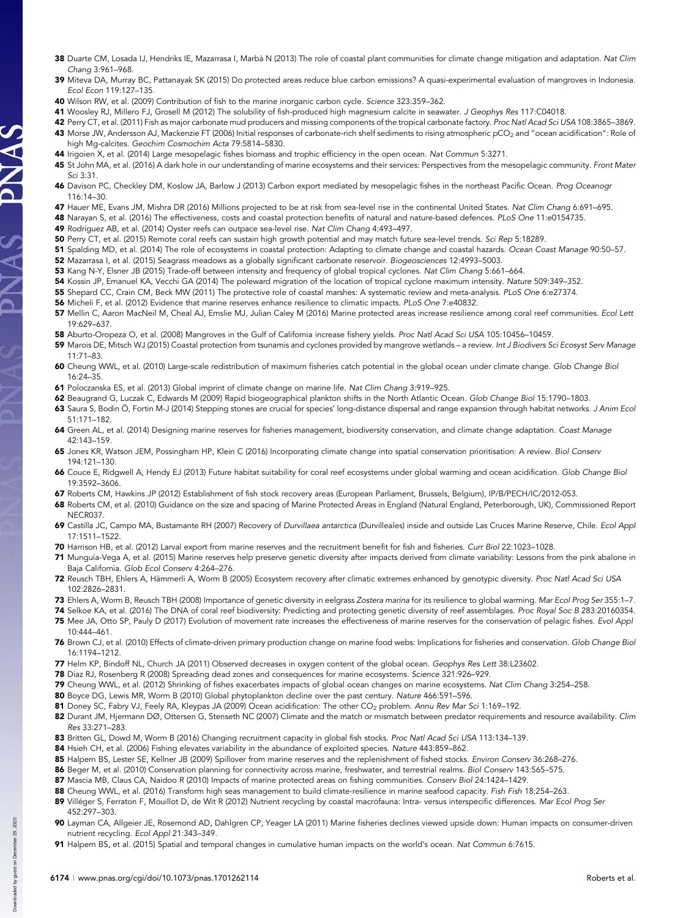- 38 Duarte CM, Losada IJ, Hendriks IE, Mazarrasa I, Marbà N (2013) The role of coastal plant communities for climate change mitigation and adaptation. Nat Clim Chang 3:961–968.
- 39 Miteva DA, Murray BC, Pattanayak SK (2015) Do protected areas reduce blue carbon emissions? A quasi-experimental evaluation of mangroves in Indonesia. Ecol Econ 119:127–135.
- 40 Wilson RW, et al. (2009) Contribution of fish to the marine inorganic carbon cycle. Science 323:359–362.
- 41 Woosley RJ, Millero FJ, Grosell M (2012) The solubility of fish-produced high magnesium calcite in seawater. J Geophys Res 117:C04018.
- 42 Perry CT, et al. (2011) Fish as major carbonate mud producers and missing components of the tropical carbonate factory. Proc Natl Acad Sci USA 108:3865–3869.
- 43 Morse JW, Andersson AJ, Mackenzie FT (2006) Initial responses of carbonate-rich shelf sediments to rising atmospheric pCO<sub>2</sub> and "ocean acidification": Role of high Mg-calcites. Geochim Cosmochim Acta 79:5814–5830.
- 44 Irigoien X, et al. (2014) Large mesopelagic fishes biomass and trophic efficiency in the open ocean. Nat Commun 5:3271.
- 45 St John MA, et al. (2016) A dark hole in our understanding of marine ecosystems and their services: Perspectives from the mesopelagic community. Front Mater Sci 3:31.
- 46 Davison PC, Checkley DM, Koslow JA, Barlow J (2013) Carbon export mediated by mesopelagic fishes in the northeast Pacific Ocean. Prog Oceanogr 116:14–30.
- 47 Hauer ME, Evans JM, Mishra DR (2016) Millions projected to be at risk from sea-level rise in the continental United States. Nat Clim Chang 6:691-695.
- 48 Narayan S, et al. (2016) The effectiveness, costs and coastal protection benefits of natural and nature-based defences. PLoS One 11:e0154735.
- 49 Rodriguez AB, et al. (2014) Oyster reefs can outpace sea-level rise. Nat Clim Chang 4:493–497.
- 50 Perry CT, et al. (2015) Remote coral reefs can sustain high growth potential and may match future sea-level trends. Sci Rep 5:18289.
- 51 Spalding MD, et al. (2014) The role of ecosystems in coastal protection: Adapting to climate change and coastal hazards. Ocean Coast Manage 90:50-57.
- 52 Mazarrasa I, et al. (2015) Seagrass meadows as a globally significant carbonate reservoir. Biogeosciences 12:4993-5003.
- 53 Kang N-Y, Elsner JB (2015) Trade-off between intensity and frequency of global tropical cyclones. Nat Clim Chang 5:661–664.
- 54 Kossin JP, Emanuel KA, Vecchi GA (2014) The poleward migration of the location of tropical cyclone maximum intensity. Nature 509:349-352.
- 55 Shepard CC, Crain CM, Beck MW (2011) The protective role of coastal marshes: A systematic review and meta-analysis. PLoS One 6:e27374.
- 56 Micheli F, et al. (2012) Evidence that marine reserves enhance resilience to climatic impacts. PLoS One 7:e40832.
- 57 Mellin C, Aaron MacNeil M, Cheal AJ, Emslie MJ, Julian Caley M (2016) Marine protected areas increase resilience among coral reef communities. Ecol Lett 19:629–637.
- 58 Aburto-Oropeza O, et al. (2008) Mangroves in the Gulf of California increase fishery yields. Proc Natl Acad Sci USA 105:10456-10459. 59 Marois DE, Mitsch WJ (2015) Coastal protection from tsunamis and cyclones provided by mangrove wetlands - a review. Int J Biodivers Sci Ecosyst Serv Manage
- 11:71–83.
- 60 Cheung WWL, et al. (2010) Large-scale redistribution of maximum fisheries catch potential in the global ocean under climate change. Glob Change Biol 16:24–35.
- 61 Poloczanska ES, et al. (2013) Global imprint of climate change on marine life. Nat Clim Chang 3:919–925.
- 62 Beaugrand G, Luczak C, Edwards M (2009) Rapid biogeographical plankton shifts in the North Atlantic Ocean. Glob Change Biol 15:1790-1803.
- 63 Saura S, Bodin Ö, Fortin M-J (2014) Stepping stones are crucial for species' long-distance dispersal and range expansion through habitat networks. J Anim Ecol 51:171–182.
- 64 Green AL, et al. (2014) Designing marine reserves for fisheries management, biodiversity conservation, and climate change adaptation. Coast Manage 42:143–159.
- 65 Jones KR, Watson JEM, Possingham HP, Klein C (2016) Incorporating climate change into spatial conservation prioritisation: A review. Biol Conserv 194:121–130.
- 66 Couce E, Ridgwell A, Hendy EJ (2013) Future habitat suitability for coral reef ecosystems under global warming and ocean acidification. Glob Change Biol 19:3592–3606.
- 67 Roberts CM, Hawkins JP (2012) Establishment of fish stock recovery areas (European Parliament, Brussels, Belgium), IP/B/PECH/IC/2012-053.
- 68 Roberts CM, et al. (2010) Guidance on the size and spacing of Marine Protected Areas in England (Natural England, Peterborough, UK), Commissioned Report NECR037.
- 69 Castilla JC, Campo MA, Bustamante RH (2007) Recovery of Durvillaea antarctica (Durvilleales) inside and outside Las Cruces Marine Reserve, Chile. Ecol Appl 17:1511–1522.
- 70 Harrison HB, et al. (2012) Larval export from marine reserves and the recruitment benefit for fish and fisheries. Curr Biol 22:1023–1028.
- 71 Munguía-Vega A, et al. (2015) Marine reserves help preserve genetic diversity after impacts derived from climate variability: Lessons from the pink abalone in Baja California. Glob Ecol Conserv 4:264–276.
- 72 Reusch TBH, Ehlers A, Hämmerli A, Worm B (2005) Ecosystem recovery after climatic extremes enhanced by genotypic diversity. Proc Natl Acad Sci USA 102:2826–2831.
- 73 Ehlers A, Worm B, Reusch TBH (2008) Importance of genetic diversity in eelgrass Zostera marina for its resilience to global warming. Mar Ecol Prog Ser 355:1-7.
- 74 Selkoe KA, et al. (2016) The DNA of coral reef biodiversity: Predicting and protecting genetic diversity of reef assemblages. Proc Royal Soc B 283:20160354.

75 Mee JA, Otto SP, Pauly D (2017) Evolution of movement rate increases the effectiveness of marine reserves for the conservation of pelagic fishes. Evol Appl 10:444–461.

- 76 Brown CJ, et al. (2010) Effects of climate-driven primary production change on marine food webs: Implications for fisheries and conservation. Glob Change Biol 16:1194–1212.
- 77 Helm KP, Bindoff NL, Church JA (2011) Observed decreases in oxygen content of the global ocean. Geophys Res Lett 38:L23602.
- 78 Diaz RJ, Rosenberg R (2008) Spreading dead zones and consequences for marine ecosystems. Science 321:926-929.
- 79 Cheung WWL, et al. (2012) Shrinking of fishes exacerbates impacts of global ocean changes on marine ecosystems. Nat Clim Chang 3:254-258.
- 80 Boyce DG, Lewis MR, Worm B (2010) Global phytoplankton decline over the past century. Nature 466:591–596.
- 81 Doney SC, Fabry VJ, Feely RA, Kleypas JA (2009) Ocean acidification: The other CO<sub>2</sub> problem. Annu Rev Mar Sci 1:169-192.
- 82 Durant JM, Hjermann DØ, Ottersen G, Stenseth NC (2007) Climate and the match or mismatch between predator requirements and resource availability. Clim Res 33:271–283.
- 83 Britten GL, Dowd M, Worm B (2016) Changing recruitment capacity in global fish stocks. Proc Natl Acad Sci USA 113:134-139.
- 84 Hsieh CH, et al. (2006) Fishing elevates variability in the abundance of exploited species. Nature 443:859-862.
- 85 Halpern BS, Lester SE, Kellner JB (2009) Spillover from marine reserves and the replenishment of fished stocks. Environ Conserv 36:268-276.
- 86 Beger M, et al. (2010) Conservation planning for connectivity across marine, freshwater, and terrestrial realms. Biol Conserv 143:565-575.
- 87 Mascia MB, Claus CA, Naidoo R (2010) Impacts of marine protected areas on fishing communities. Conserv Biol 24:1424-1429.
- 88 Cheung WWL, et al. (2016) Transform high seas management to build climate-resilience in marine seafood capacity. Fish Fish 18:254-263.
- 89 Villéger S, Ferraton F, Mouillot D, de Wit R (2012) Nutrient recycling by coastal macrofauna: Intra- versus interspecific differences. Mar Ecol Prog Ser 452:297–303.
- 90 Layman CA, Allgeier JE, Rosemond AD, Dahlgren CP, Yeager LA (2011) Marine fisheries declines viewed upside down: Human impacts on consumer-driven nutrient recycling. Ecol Appl 21:343–349.
- 91 Halpern BS, et al. (2015) Spatial and temporal changes in cumulative human impacts on the world's ocean. Nat Commun 6:7615.

Down

**SANG** 

S<br>A<br>Z